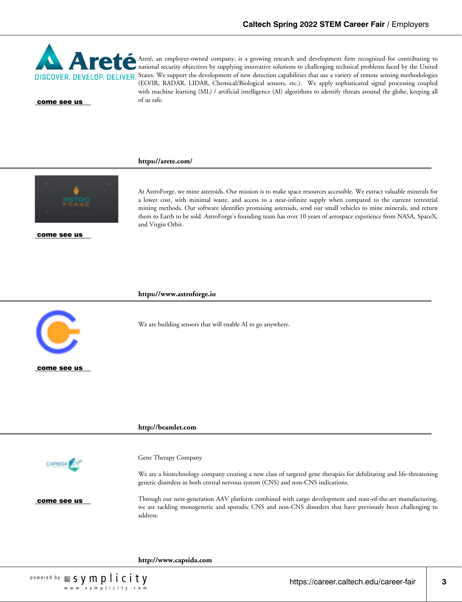

Areté, an employee-owned company, is a growing research and development firm recognized for contributing to national security objectives by supplying innovative solutions to challenging technical problems faced by the United DISCOVER. DEVELOP. DELIVER. States. We support the development of new detection capabilities that use a variety of remote sensing methodologies (EO/IR, RADAR, LIDAR, Chemical/Biological sensors, etc.). We apply sophisticated signal processing coupled with machine learning (ML) / artificial intelligence (AI) algorithms to identify threats around the globe, keeping all come see us of us safe.

## **https://arete.com/**



come see us

At AstroForge, we mine asteroids. Our mission is to make space resources accessible. We extract valuable minerals for a lower cost, with minimal waste, and access to a near-infinite supply when compared to the current terrestrial mining methods. Our software identifies promising asteroids, send our small vehicles to mine minerals, and return them to Earth to be sold. AstroForge's founding team has over 10 years of aerospace experience from NASA, SpaceX, and Virgin Orbit.

#### **https://www.astroforge.io**

We are building sensors that will enable AI to go anywhere.



come see us

Gene Therapy Company **CAPSIDA F** We are a biotechnology company creating a new class of targeted gene therapies for debilitating and life-threatening genetic disorders in both central nervous system (CNS) and non-CNS indications. Through our next-generation AAV platform combined with cargo development and state-of-the-art manufacturing, come see us we are tackling monogenetic and sporadic CNS and non-CNS disorders that have previously been challenging to address.

**http://www.capsida.com**

**http://beamlet.com**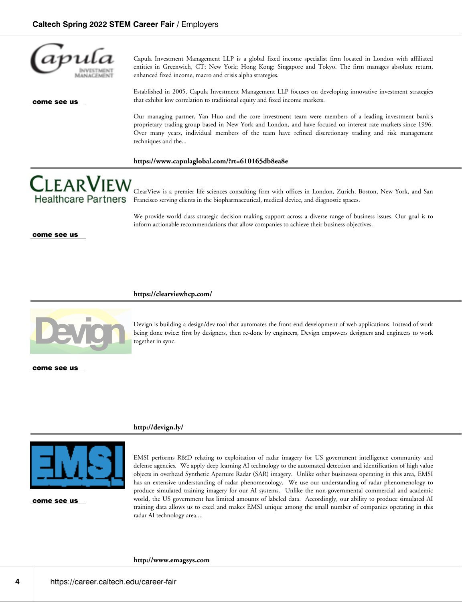

Capula Investment Management LLP is a global fixed income specialist firm located in London with affiliated entities in Greenwich, CT; New York; Hong Kong; Singapore and Tokyo. The firm manages absolute return, enhanced fixed income, macro and crisis alpha strategies.

Established in 2005, Capula Investment Management LLP focuses on developing innovative investment strategies that exhibit low correlation to traditional equity and fixed income markets.

Our managing partner, Yan Huo and the core investment team were members of a leading investment bank's proprietary trading group based in New York and London, and have focused on interest rate markets since 1996. Over many years, individual members of the team have refined discretionary trading and risk management techniques and the...

## **https://www.capulaglobal.com/?rt=610165db8ea8e**

**CLEARVIEW** ClearView is a premier life sciences consulting firm with offices in London, Zurich, Boston, New York, and San Francisco serving clients in the biopharmaceutical, medical device, and diagnostic spaces.

> We provide world-class strategic decision-making support across a diverse range of business issues. Our goal is to inform actionable recommendations that allow companies to achieve their business objectives.

come see us

#### **https://clearviewhcp.com/**



**Healthcare Partners** 

Devign is building a design/dev tool that automates the front-end development of web applications. Instead of work being done twice: first by designers, then re-done by engineers, Devign empowers designers and engineers to work together in sync.

come see us

## **http://devign.ly/**



come see us

EMSI performs R&D relating to exploitation of radar imagery for US government intelligence community and defense agencies. We apply deep learning AI technology to the automated detection and identification of high value objects in overhead Synthetic Aperture Radar (SAR) imagery. Unlike other businesses operating in this area, EMSI has an extensive understanding of radar phenomenology. We use our understanding of radar phenomenology to produce simulated training imagery for our AI systems. Unlike the non-governmental commercial and academic world, the US government has limited amounts of labeled data. Accordingly, our ability to produce simulated AI training data allows us to excel and makes EMSI unique among the small number of companies operating in this radar AI technology area....

**http://www.emagsys.com**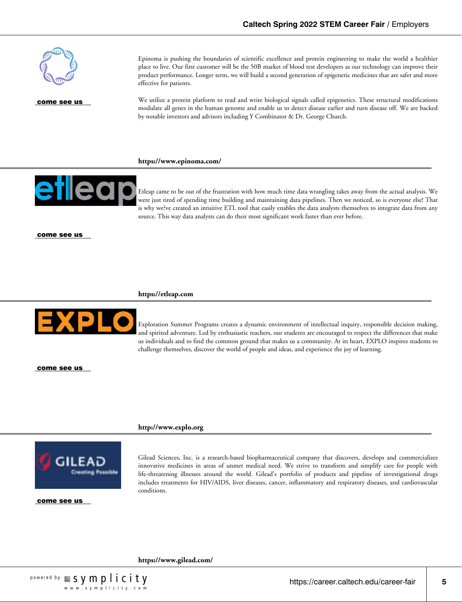

Epinoma is pushing the boundaries of scientific excellence and protein engineering to make the world a healthier place to live. Our first customer will be the 50B market of blood test developers as our technology can improve their product performance. Longer term, we will build a second generation of epigenetic medicines that are safer and more effective for patients.

We utilize a protein platform to read and write biological signals called epigenetics. These structural modifications modulate all genes in the human genome and enable us to detect disease earlier and turn disease off. We are backed by notable investors and advisors including Y Combinator & Dr. George Church.

## **https://www.epinoma.com/**



Etleap came to be out of the frustration with how much time data wrangling takes away from the actual analysis. We were just tired of spending time building and maintaining data pipelines. Then we noticed, so is everyone else! That is why we?ve created an intuitive ETL tool that easily enables the data analysts themselves to integrate data from any source. This way data analysts can do their most significant work faster than ever before.

come see us

#### **https://etleap.com**



Exploration Summer Programs creates a dynamic environment of intellectual inquiry, responsible decision making, and spirited adventure. Led by enthusiastic teachers, our students are encouraged to respect the differences that make us individuals and to find the common ground that makes us a community. At its heart, EXPLO inspires students to challenge themselves, discover the world of people and ideas, and experience the joy of learning.

come see us

#### **http://www.explo.org**



Gilead Sciences, Inc. is a research-based biopharmaceutical company that discovers, develops and commercializes innovative medicines in areas of unmet medical need. We strive to transform and simplify care for people with life-threatening illnesses around the world. Gilead's portfolio of products and pipeline of investigational drugs includes treatments for HIV/AIDS, liver diseases, cancer, inflammatory and respiratory diseases, and cardiovascular conditions.

come see us

**https://www.gilead.com/**

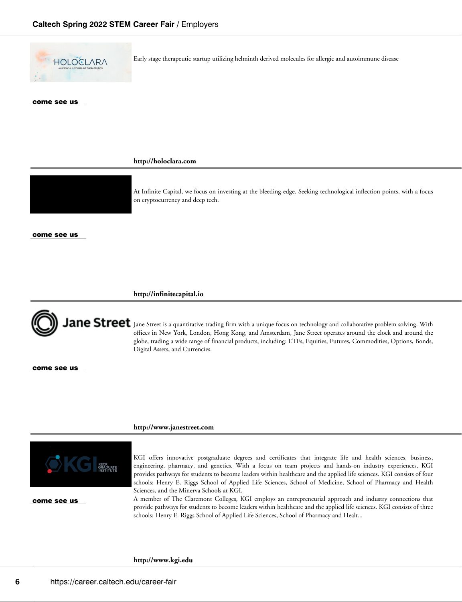

Early stage therapeutic startup utilizing helminth derived molecules for allergic and autoimmune disease

### come see us

**http://holoclara.com**



At Infinite Capital, we focus on investing at the bleeding-edge. Seeking technological inflection points, with a focus on cryptocurrency and deep tech.

#### come see us

**http://infinitecapital.io**



ane Street Jane Street is a quantitative trading firm with a unique focus on technology and collaborative problem solving. With offices in New York, London, Hong Kong, and Amsterdam, Jane Street operates around the clock and around the globe, trading a wide range of financial products, including: ETFs, Equities, Futures, Commodities, Options, Bonds, Digital Assets, and Currencies.

come see us

### **http://www.janestreet.com**



come see us

KGI offers innovative postgraduate degrees and certificates that integrate life and health sciences, business, engineering, pharmacy, and genetics. With a focus on team projects and hands-on industry experiences, KGI provides pathways for students to become leaders within healthcare and the applied life sciences. KGI consists of four schools: Henry E. Riggs School of Applied Life Sciences, School of Medicine, School of Pharmacy and Health Sciences, and the Minerva Schools at KGI.

A member of The Claremont Colleges, KGI employs an entrepreneurial approach and industry connections that provide pathways for students to become leaders within healthcare and the applied life sciences. KGI consists of three schools: Henry E. Riggs School of Applied Life Sciences, School of Pharmacy and Healt...

## **http://www.kgi.edu**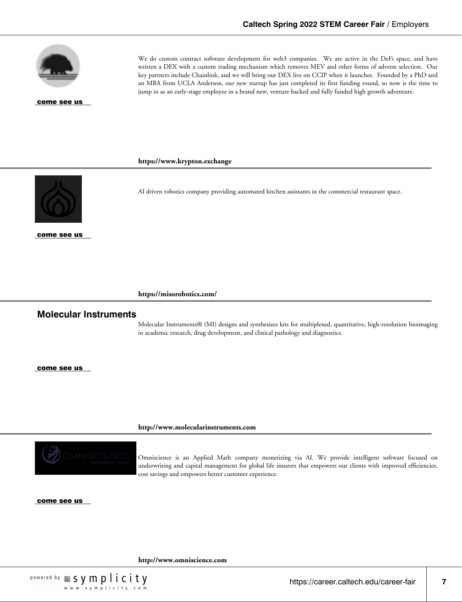

We do custom contract software development for web3 companies. We are active in the DeFi space, and have written a DEX with a custom trading mechanism which removes MEV and other forms of adverse selection. Our key partners include Chainlink, and we will bring our DEX live on CCIP when it launches. Founded by a PhD and an MBA from UCLA Anderson, our new startup has just completed its first funding round, so now is the time to jump in as an early-stage employee in a brand new, venture backed and fully funded high growth adventure.

AI driven robotics company providing automated kitchen assistants in the commercial restaurant space.

# **https://www.krypton.exchange**



come see us

**https://misorobotics.com/**

# **Molecular Instruments**

Molecular Instruments® (MI) designs and synthesizes kits for multiplexed, quantitative, high-resolution bioimaging in academic research, drug development, and clinical pathology and diagnostics.

come see us

**http://www.molecularinstruments.com**



Omniscience is an Applied Math company monetizing via AI. We provide intelligent software focused on underwriting and capital management for global life insurers that empowers our clients with improved efficiencies, cost savings and empowers better customer experience.

come see us

**http://www.omniscience.com**



https://career.caltech.edu/career-fair **7**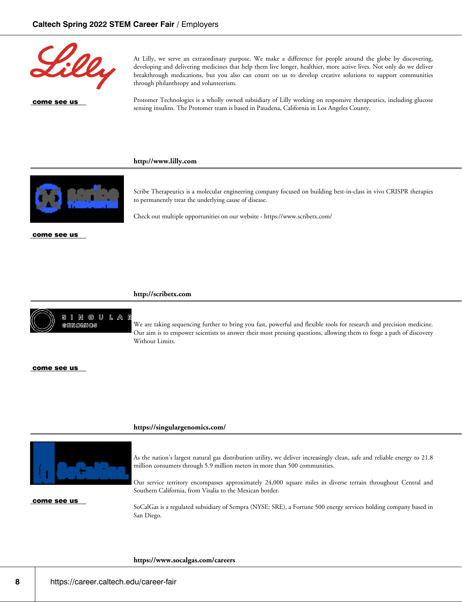

At Lilly, we serve an extraordinary purpose. We make a difference for people around the globe by discovering, developing and delivering medicines that help them live longer, healthier, more active lives. Not only do we deliver breakthrough medications, but you also can count on us to develop creative solutions to support communities through philanthropy and volunteerism.

Protomer Technologies is a wholly owned subsidiary of Lilly working on responsive therapeutics, including glucose sensing insulins. The Protomer team is based in Pasadena, California in Los Angeles County.

## **http://www.lilly.com**



come see us

Scribe Therapeutics is a molecular engineering company focused on building best-in-class in vivo CRISPR therapies to permanently treat the underlying cause of disease.

Check out multiple opportunities on our website - https://www.scribetx.com/

### **http://scribetx.com**



We are taking sequencing further to bring you fast, powerful and flexible tools for research and precision medicine. Our aim is to empower scientists to answer their most pressing questions, allowing them to forge a path of discovery Without Limits.

#### come see us

## **https://singulargenomics.com/**



come see us

As the nation's largest natural gas distribution utility, we deliver increasingly clean, safe and reliable energy to 21.8 million consumers through 5.9 million meters in more than 500 communities.

Our service territory encompasses approximately 24,000 square miles in diverse terrain throughout Central and Southern California, from Visalia to the Mexican border.

SoCalGas is a regulated subsidiary of Sempra (NYSE: SRE), a Fortune 500 energy services holding company based in San Diego.

#### **https://www.socalgas.com/careers**